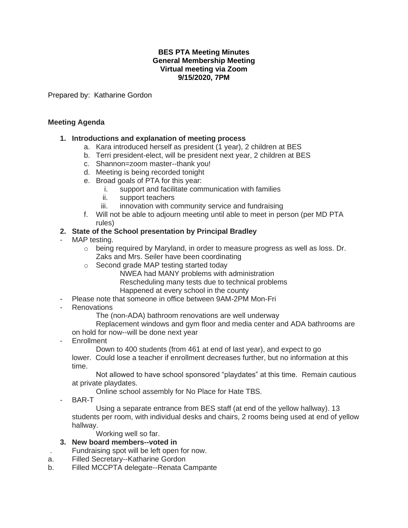#### **BES PTA Meeting Minutes General Membership Meeting Virtual meeting via Zoom 9/15/2020, 7PM**

Prepared by: Katharine Gordon

### **Meeting Agenda**

### **1. Introductions and explanation of meeting process**

- a. Kara introduced herself as president (1 year), 2 children at BES
- b. Terri president-elect, will be president next year, 2 children at BES
- c. Shannon=zoom master--thank you!
- d. Meeting is being recorded tonight
- e. Broad goals of PTA for this year:
	- i. support and facilitate communication with families
	- ii. support teachers
	- iii. innovation with community service and fundraising
- f. Will not be able to adjourn meeting until able to meet in person (per MD PTA rules)

### **2. State of the School presentation by Principal Bradley**

- MAP testing.
	- $\circ$  being required by Maryland, in order to measure progress as well as loss. Dr. Zaks and Mrs. Seiler have been coordinating
	- o Second grade MAP testing started today
		- NWEA had MANY problems with administration Rescheduling many tests due to technical problems Happened at every school in the county
- Please note that someone in office between 9AM-2PM Mon-Fri
- Renovations

The (non-ADA) bathroom renovations are well underway

Replacement windows and gym floor and media center and ADA bathrooms are on hold for now--will be done next year

**Enrollment** 

Down to 400 students (from 461 at end of last year), and expect to go lower. Could lose a teacher if enrollment decreases further, but no information at this time.

Not allowed to have school sponsored "playdates" at this time. Remain cautious at private playdates.

Online school assembly for No Place for Hate TBS.

BAR-T

Using a separate entrance from BES staff (at end of the yellow hallway). 13 students per room, with individual desks and chairs, 2 rooms being used at end of yellow hallway.

Working well so far.

## **3. New board members--voted in**

. Fundraising spot will be left open for now.

- a. Filled Secretary--Katharine Gordon
- b. Filled MCCPTA delegate--Renata Campante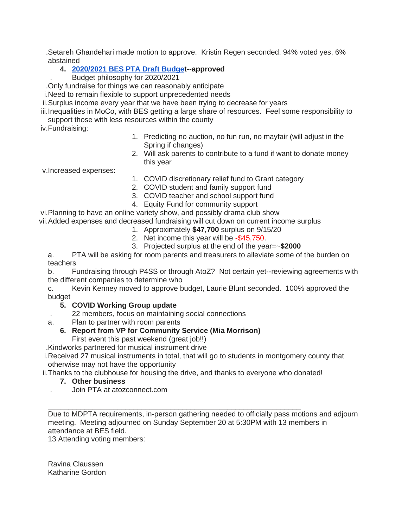.Setareh Ghandehari made motion to approve. Kristin Regen seconded. 94% voted yes, 6% abstained

## **4. [2020/2021 BES PTA Draft Budget](http://links.atozconnect.com/ls/click?upn=7Im66JXbG3mWs-2B98Hb5Nk-2B6OtsbYAMiBwEjJnH8Lb1haq6t-2BjFM9yHcOs-2F07R2aoYI7sunDfCIuNHQg8JiMYZfpi4X2u01sqE9fjIaWg1sYfjkEeFN9gm6Kvy-2BBhIMMJay-2Bs4-2FlgVAboo3vcYK1oFDBh2C-2BSgHIxKBfRhonEX76hUdjgdN2EbQhq8ORYNpLHbO7s-2BoKr67iVY0Hm3F3HSA-3D-3D3pbR_vyxB5cbaFsRaxJhqumq3iDFXG-2BHF2yL98EMXlR-2BJxKBBULivSaZrz-2BwtZmxX3Fjc70T-2FGtPkSMHstMepbj-2BmyIa538AME222A0dOlBbE5F6ofCi9be9tu5AQbCYDbpgIpEpFFufqc4kg1gy8D-2FSVAyL-2BpCICdPVnpPs1RzFmA7qumVKGT5kNaO-2BeoLIFqalrIS33kH6cZpQ-2Fhv6MWWRWelyC4PDBLseS3fMhEc7DmD1qEEhNkwgigR9Gtw5WmheojQSNGX5TpU87NKEEJey0LjeQPEn8W-2FoPan2ie8ytJS49XuLX-2FWoSQ0-2BIG5FDWteUVDw7PpIB0BWzkTYJW6uX9YryLdFB010pHrjM6peu9X2q5A2AH6Jvdi3X79Ty5FQaoANGJWGzAvea9L71Lw4y4ESrIdGIzGzKmvc-2Fws1Jb9C2F5TMrfyKbpobXUKwrzPaxf1O914GkHHRY19fO1GPHQ-3D-3D)--approved**

. Budget philosophy for 2020/2021

.Only fundraise for things we can reasonably anticipate

i.Need to remain flexible to support unprecedented needs

ii.Surplus income every year that we have been trying to decrease for years

iii.Inequalities in MoCo, with BES getting a large share of resources. Feel some responsibility to support those with less resources within the county

iv.Fundraising:

- 1. Predicting no auction, no fun run, no mayfair (will adjust in the Spring if changes)
- 2. Will ask parents to contribute to a fund if want to donate money this year

v.Increased expenses:

- 1. COVID discretionary relief fund to Grant category
- 2. COVID student and family support fund
- 3. COVID teacher and school support fund
- 4. Equity Fund for community support

vi.Planning to have an online variety show, and possibly drama club show vii.Added expenses and decreased fundraising will cut down on current income surplus

- 1. Approximately **\$47,700** surplus on 9/15/20
- 2. Net income this year will be -\$45,750.
- 3. Projected surplus at the end of the year=~**\$2000**

a. PTA will be asking for room parents and treasurers to alleviate some of the burden on teachers

b. Fundraising through P4SS or through AtoZ? Not certain yet--reviewing agreements with the different companies to determine who

c. Kevin Kenney moved to approve budget, Laurie Blunt seconded. 100% approved the budget

## **5. COVID Working Group update**

- . 22 members, focus on maintaining social connections
- a. Plan to partner with room parents

# **6. Report from VP for Community Service (Mia Morrison)**

First event this past weekend (great job!!)

.Kindworks partnered for musical instrument drive

i.Received 27 musical instruments in total, that will go to students in montgomery county that otherwise may not have the opportunity

ii.Thanks to the clubhouse for housing the drive, and thanks to everyone who donated!

\_\_\_\_\_\_\_\_\_\_\_\_\_\_\_\_\_\_\_\_\_\_\_\_\_\_\_\_\_\_\_\_\_\_\_\_\_\_\_\_\_\_\_\_\_\_\_\_\_\_\_\_\_\_\_\_\_\_\_\_\_\_

## **7. Other business**

. Join PTA at atozconnect.com

Due to MDPTA requirements, in-person gathering needed to officially pass motions and adjourn meeting. Meeting adjourned on Sunday September 20 at 5:30PM with 13 members in attendance at BES field.

13 Attending voting members:

Ravina Claussen Katharine Gordon